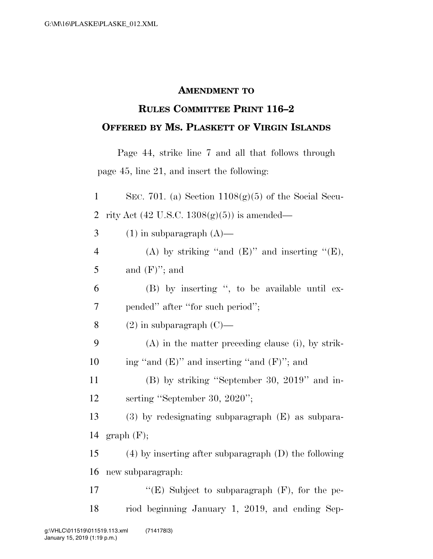## **AMENDMENT TO**

## **RULES COMMITTEE PRINT 116–2 OFFERED BY MS. PLASKETT OF VIRGIN ISLANDS**

Page 44, strike line 7 and all that follows through page 45, line 21, and insert the following:

| $\mathbf{1}$   | SEC. 701. (a) Section $1108(g)(5)$ of the Social Secu-    |
|----------------|-----------------------------------------------------------|
| $\overline{2}$ | rity Act $(42 \text{ U.S.C. } 1308(g)(5))$ is amended—    |
| 3              | $(1)$ in subparagraph $(A)$ —                             |
| $\overline{4}$ | (A) by striking "and $(E)$ " and inserting " $(E)$ ,      |
| 5              | and $(F)$ "; and                                          |
| 6              | (B) by inserting ", to be available until ex-             |
| 7              | pended" after "for such period";                          |
| 8              | $(2)$ in subparagraph $(C)$ —                             |
| 9              | $(A)$ in the matter preceding clause (i), by strik-       |
| 10             | ing "and $(E)$ " and inserting "and $(F)$ "; and          |
| 11             | $(B)$ by striking "September 30, 2019" and in-            |
| 12             | serting "September 30, 2020";                             |
| 13             | $(3)$ by redesignating subparagraph $(E)$ as subpara-     |
| 14             | graph(F);                                                 |
| 15             | $(4)$ by inserting after subparagraph $(D)$ the following |
| 16             | new subparagraph:                                         |
| 17             | "(E) Subject to subparagraph $(F)$ , for the pe-          |
| 18             | riod beginning January 1, 2019, and ending Sep-           |
|                |                                                           |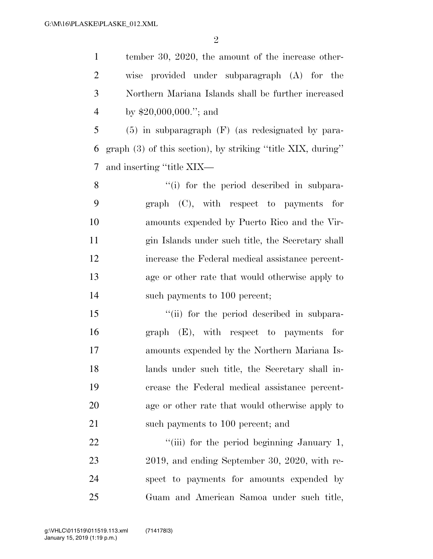$\mathfrak{D}$ 

 tember 30, 2020, the amount of the increase other- wise provided under subparagraph (A) for the Northern Mariana Islands shall be further increased by \$20,000,000.''; and

 (5) in subparagraph (F) (as redesignated by para- graph (3) of this section), by striking ''title XIX, during'' and inserting ''title XIX—

8 ''(i) for the period described in subpara- graph (C), with respect to payments for amounts expended by Puerto Rico and the Vir- gin Islands under such title, the Secretary shall increase the Federal medical assistance percent- age or other rate that would otherwise apply to 14 such payments to 100 percent;

15 ""(ii) for the period described in subpara- graph (E), with respect to payments for amounts expended by the Northern Mariana Is- lands under such title, the Secretary shall in- crease the Federal medical assistance percent- age or other rate that would otherwise apply to 21 such payments to 100 percent; and

22 ""(iii) for the period beginning January 1, 2019, and ending September 30, 2020, with re- spect to payments for amounts expended by Guam and American Samoa under such title,